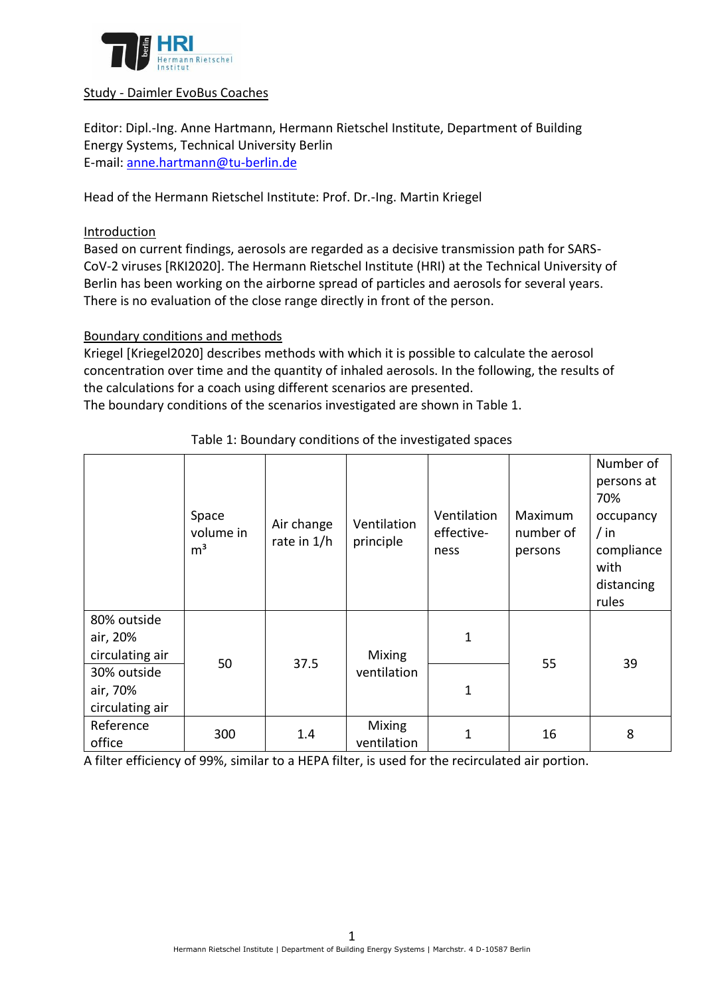

#### Study - Daimler EvoBus Coaches

Editor: Dipl.-Ing. Anne Hartmann, Hermann Rietschel Institute, Department of Building Energy Systems, Technical University Berlin E-mail: [anne.hartmann@tu-berlin.de](mailto:anne.hartmann@tu-berlin.de)

Head of the Hermann Rietschel Institute: Prof. Dr.-Ing. Martin Kriegel

### Introduction

Based on current findings, aerosols are regarded as a decisive transmission path for SARS-CoV-2 viruses [RKI2020]. The Hermann Rietschel Institute (HRI) at the Technical University of Berlin has been working on the airborne spread of particles and aerosols for several years. There is no evaluation of the close range directly in front of the person.

### Boundary conditions and methods

Kriegel [Kriegel2020] describes methods with which it is possible to calculate the aerosol concentration over time and the quantity of inhaled aerosols. In the following, the results of the calculations for a coach using different scenarios are presented.

The boundary conditions of the scenarios investigated are shown in [Table 1.](#page-0-0)

<span id="page-0-0"></span>

|                                            | Space<br>volume in<br>m <sup>3</sup> | Air change<br>rate in 1/h | Ventilation<br>principle | Ventilation<br>effective-<br>ness | Maximum<br>number of<br>persons | Number of<br>persons at<br>70%<br>occupancy<br>$/$ in<br>compliance<br>with<br>distancing<br>rules |
|--------------------------------------------|--------------------------------------|---------------------------|--------------------------|-----------------------------------|---------------------------------|----------------------------------------------------------------------------------------------------|
| 80% outside<br>air, 20%<br>circulating air | 50                                   | 37.5                      | Mixing<br>ventilation    | 1                                 | 55                              | 39                                                                                                 |
| 30% outside<br>air, 70%<br>circulating air |                                      |                           |                          | $\mathbf 1$                       |                                 |                                                                                                    |
| Reference<br>office                        | 300                                  | 1.4                       | Mixing<br>ventilation    | 1                                 | 16                              | 8                                                                                                  |

# Table 1: Boundary conditions of the investigated spaces

A filter efficiency of 99%, similar to a HEPA filter, is used for the recirculated air portion.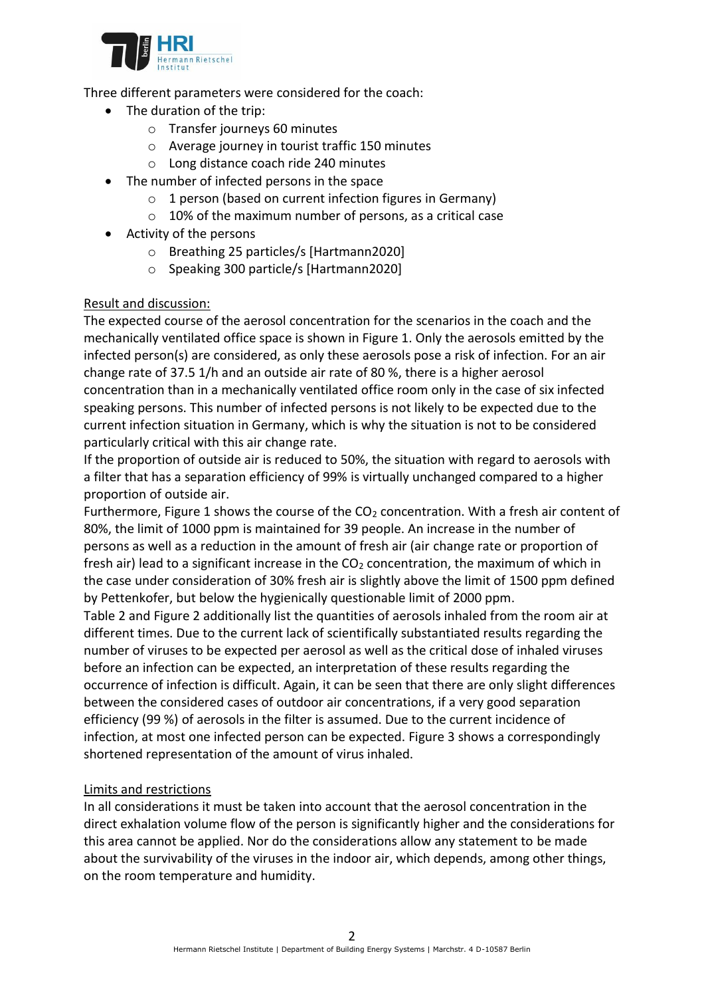

Three different parameters were considered for the coach:

- The duration of the trip:
	- o Transfer journeys 60 minutes
	- o Average journey in tourist traffic 150 minutes
	- o Long distance coach ride 240 minutes
- The number of infected persons in the space
	- $\circ$  1 person (based on current infection figures in Germany)
	- $\circ$  10% of the maximum number of persons, as a critical case
- Activity of the persons
	- o Breathing 25 particles/s [Hartmann2020]
	- o Speaking 300 particle/s [Hartmann2020]

## Result and discussion:

The expected course of the aerosol concentration for the scenarios in the coach and the mechanically ventilated office space is shown in Figure 1. Only the aerosols emitted by the infected person(s) are considered, as only these aerosols pose a risk of infection. For an air change rate of 37.5 1/h and an outside air rate of 80 %, there is a higher aerosol concentration than in a mechanically ventilated office room only in the case of six infected speaking persons. This number of infected persons is not likely to be expected due to the current infection situation in Germany, which is why the situation is not to be considered particularly critical with this air change rate.

If the proportion of outside air is reduced to 50%, the situation with regard to aerosols with a filter that has a separation efficiency of 99% is virtually unchanged compared to a higher proportion of outside air.

Furthermore, Figure 1 shows the course of the  $CO<sub>2</sub>$  concentration. With a fresh air content of 80%, the limit of 1000 ppm is maintained for 39 people. An increase in the number of persons as well as a reduction in the amount of fresh air (air change rate or proportion of fresh air) lead to a significant increase in the  $CO<sub>2</sub>$  concentration, the maximum of which in the case under consideration of 30% fresh air is slightly above the limit of 1500 ppm defined by Pettenkofer, but below the hygienically questionable limit of 2000 ppm.

[Table 2](#page-2-0) and Figure 2 additionally list the quantities of aerosols inhaled from the room air at different times. Due to the current lack of scientifically substantiated results regarding the number of viruses to be expected per aerosol as well as the critical dose of inhaled viruses before an infection can be expected, an interpretation of these results regarding the occurrence of infection is difficult. Again, it can be seen that there are only slight differences between the considered cases of outdoor air concentrations, if a very good separation efficiency (99 %) of aerosols in the filter is assumed. Due to the current incidence of infection, at most one infected person can be expected. Figure 3 shows a correspondingly shortened representation of the amount of virus inhaled.

## Limits and restrictions

In all considerations it must be taken into account that the aerosol concentration in the direct exhalation volume flow of the person is significantly higher and the considerations for this area cannot be applied. Nor do the considerations allow any statement to be made about the survivability of the viruses in the indoor air, which depends, among other things, on the room temperature and humidity.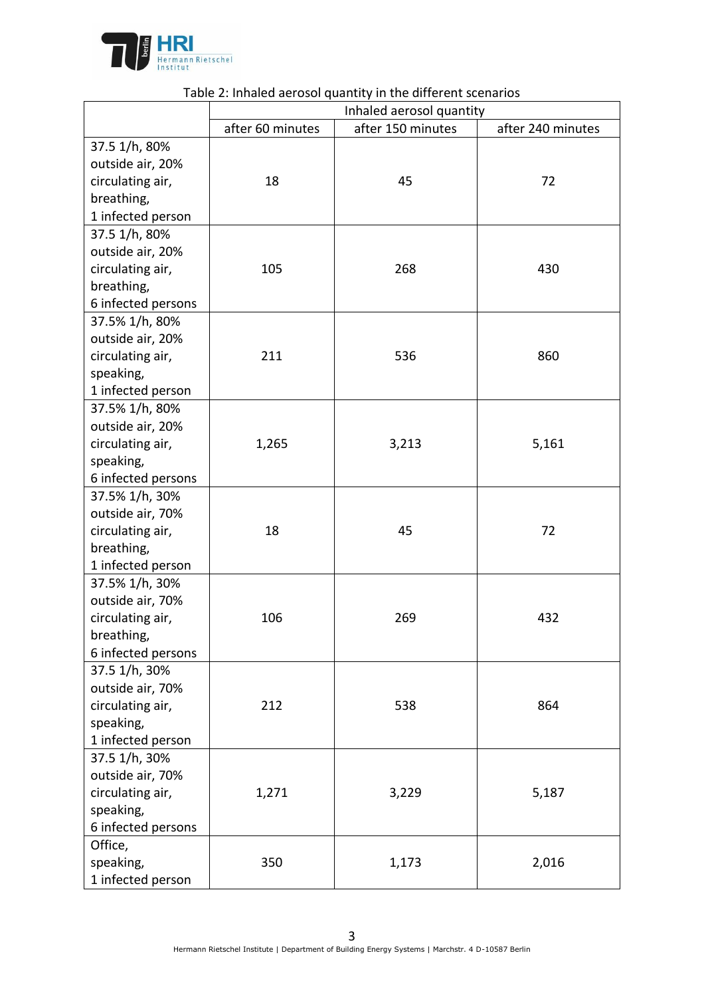

<span id="page-2-0"></span>

|                    | rabic 2. imidica acrosor quartity in the unicrent secriality<br>Inhaled aerosol quantity |                   |                   |  |  |  |
|--------------------|------------------------------------------------------------------------------------------|-------------------|-------------------|--|--|--|
|                    | after 60 minutes                                                                         | after 150 minutes | after 240 minutes |  |  |  |
| 37.5 1/h, 80%      |                                                                                          |                   |                   |  |  |  |
| outside air, 20%   |                                                                                          |                   |                   |  |  |  |
| circulating air,   | 18                                                                                       | 45                | 72                |  |  |  |
| breathing,         |                                                                                          |                   |                   |  |  |  |
| 1 infected person  |                                                                                          |                   |                   |  |  |  |
| 37.5 1/h, 80%      |                                                                                          |                   |                   |  |  |  |
| outside air, 20%   |                                                                                          |                   |                   |  |  |  |
| circulating air,   | 105                                                                                      | 268               | 430               |  |  |  |
| breathing,         |                                                                                          |                   |                   |  |  |  |
| 6 infected persons |                                                                                          |                   |                   |  |  |  |
| 37.5% 1/h, 80%     |                                                                                          |                   |                   |  |  |  |
| outside air, 20%   |                                                                                          |                   |                   |  |  |  |
| circulating air,   | 211                                                                                      | 536               | 860               |  |  |  |
| speaking,          |                                                                                          |                   |                   |  |  |  |
| 1 infected person  |                                                                                          |                   |                   |  |  |  |
| 37.5% 1/h, 80%     |                                                                                          |                   |                   |  |  |  |
| outside air, 20%   |                                                                                          |                   |                   |  |  |  |
| circulating air,   | 1,265                                                                                    | 3,213             | 5,161             |  |  |  |
| speaking,          |                                                                                          |                   |                   |  |  |  |
| 6 infected persons |                                                                                          |                   |                   |  |  |  |
| 37.5% 1/h, 30%     |                                                                                          |                   |                   |  |  |  |
| outside air, 70%   |                                                                                          |                   |                   |  |  |  |
| circulating air,   | 18                                                                                       | 45                | 72                |  |  |  |
| breathing,         |                                                                                          |                   |                   |  |  |  |
| 1 infected person  |                                                                                          |                   |                   |  |  |  |
| 37.5% 1/h, 30%     |                                                                                          |                   |                   |  |  |  |
| outside air, 70%   |                                                                                          |                   |                   |  |  |  |
| circulating air,   | 106                                                                                      | 269               | 432               |  |  |  |
| breathing,         |                                                                                          |                   |                   |  |  |  |
| 6 infected persons |                                                                                          |                   |                   |  |  |  |
| 37.5 1/h, 30%      |                                                                                          |                   |                   |  |  |  |
| outside air, 70%   |                                                                                          |                   |                   |  |  |  |
| circulating air,   | 212                                                                                      | 538               | 864               |  |  |  |
| speaking,          |                                                                                          |                   |                   |  |  |  |
| 1 infected person  |                                                                                          |                   |                   |  |  |  |
| 37.5 1/h, 30%      |                                                                                          |                   |                   |  |  |  |
| outside air, 70%   |                                                                                          |                   |                   |  |  |  |
| circulating air,   | 1,271                                                                                    | 3,229             | 5,187             |  |  |  |
| speaking,          |                                                                                          |                   |                   |  |  |  |
| 6 infected persons |                                                                                          |                   |                   |  |  |  |
| Office,            |                                                                                          |                   |                   |  |  |  |
| speaking,          | 350                                                                                      | 1,173             | 2,016             |  |  |  |
| 1 infected person  |                                                                                          |                   |                   |  |  |  |

## Table 2: Inhaled aerosol quantity in the different scenarios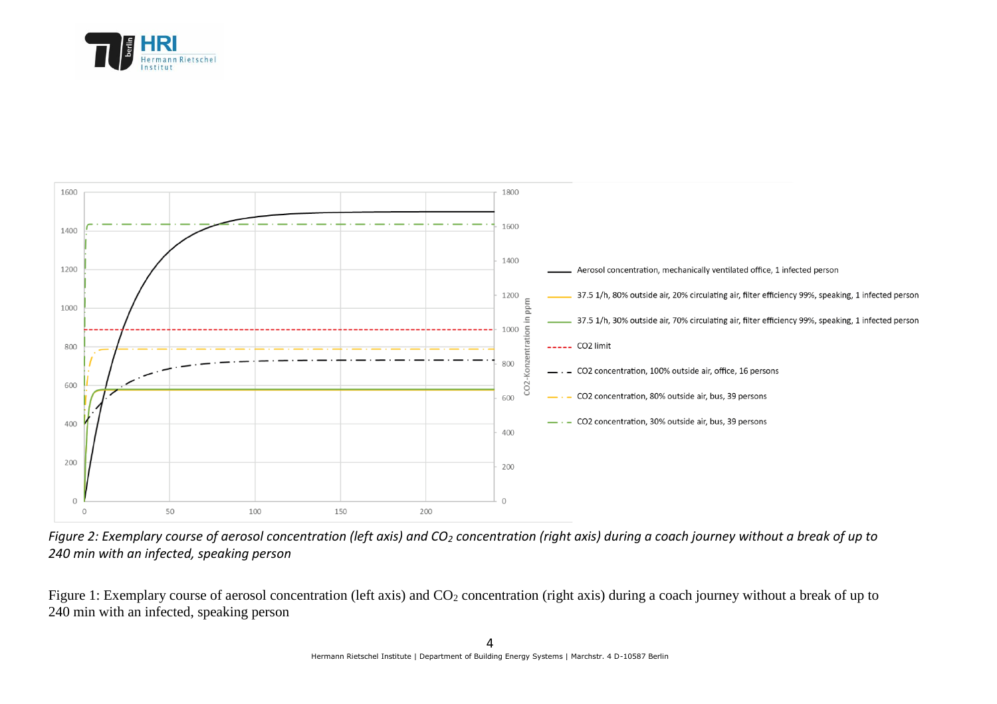





Figure 1: Exemplary course of aerosol concentration (left axis) and CO<sub>2</sub> concentration (right axis) during a coach journey without a break of up to 240 min with an infected, speaking person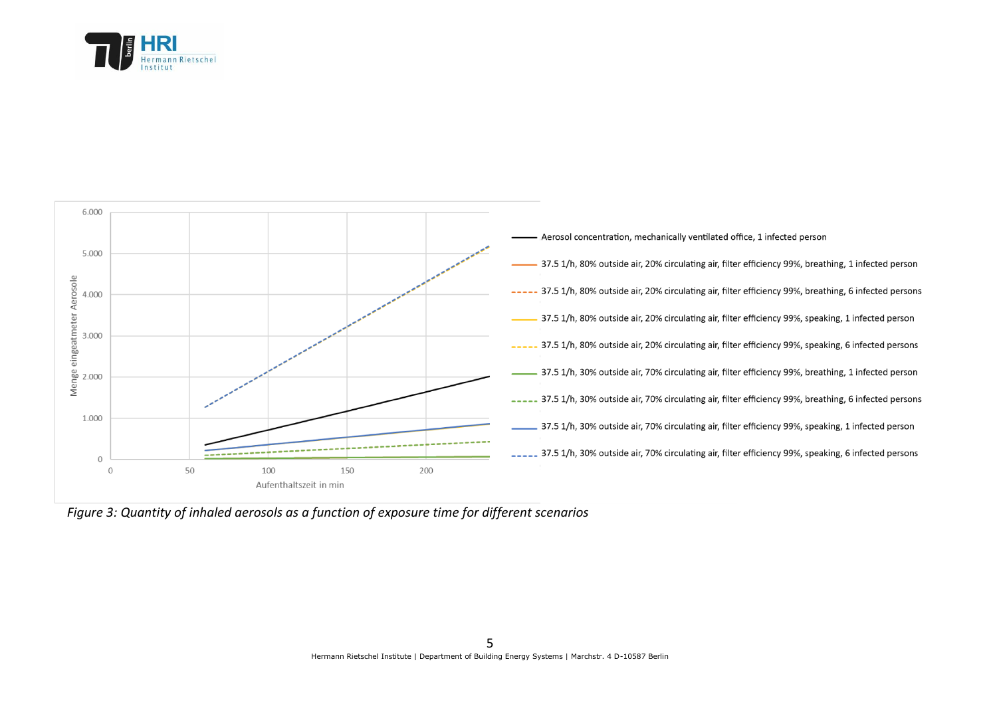



*Figure 3: Quantity of inhaled aerosols as a function of exposure time for different scenarios*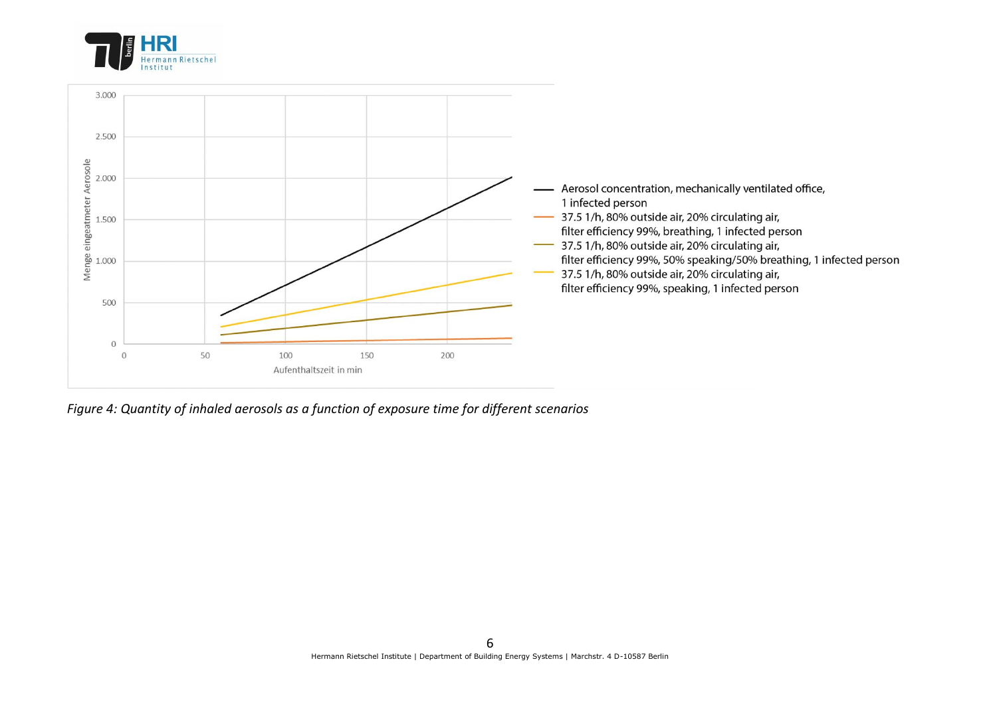



*Figure 4: Quantity of inhaled aerosols as a function of exposure time for different scenarios*